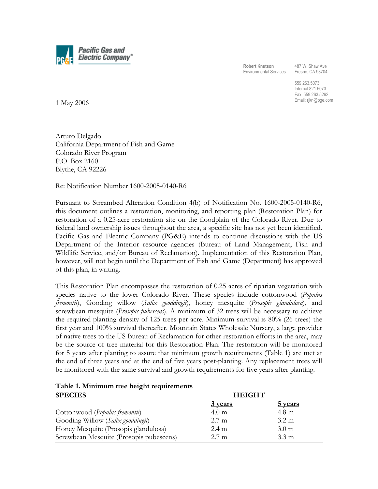

**Robert Knutson**  Environmental Services

487 W. Shaw Ave Fresno, CA 93704

559.263.5073 Internal:821.5073 Fax: 559.263.5262 Email: rjkn@pge.com

1 May 2006

Arturo Delgado California Department of Fish and Game Colorado River Program P.O. Box 2160 Blythe, CA 92226

Re: Notification Number 1600-2005-0140-R6

Pursuant to Streambed Alteration Condition 4(b) of Notification No. 1600-2005-0140-R6, this document outlines a restoration, monitoring, and reporting plan (Restoration Plan) for restoration of a 0.25-acre restoration site on the floodplain of the Colorado River. Due to federal land ownership issues throughout the area, a specific site has not yet been identified. Pacific Gas and Electric Company (PG&E) intends to continue discussions with the US Department of the Interior resource agencies (Bureau of Land Management, Fish and Wildlife Service, and/or Bureau of Reclamation). Implementation of this Restoration Plan, however, will not begin until the Department of Fish and Game (Department) has approved of this plan, in writing.

This Restoration Plan encompasses the restoration of 0.25 acres of riparian vegetation with species native to the lower Colorado River. These species include cottonwood (*Populus fremontii*), Gooding willow (*Salix gooddingii*), honey mesquite (*Prosopis glandulosa*), and screwbean mesquite (*Prosopis pubescens*). A minimum of 32 trees will be necessary to achieve the required planting density of 125 trees per acre. Minimum survival is 80% (26 trees) the first year and 100% survival thereafter. Mountain States Wholesale Nursery, a large provider of native trees to the US Bureau of Reclamation for other restoration efforts in the area, may be the source of tree material for this Restoration Plan. The restoration will be monitored for 5 years after planting to assure that minimum growth requirements (Table 1) are met at the end of three years and at the end of five years post-planting. Any replacement trees will be monitored with the same survival and growth requirements for five years after planting.

| Table 1. Minimum tree height requirements |                  |                  |
|-------------------------------------------|------------------|------------------|
| <b>SPECIES</b>                            | <b>HEIGHT</b>    |                  |
|                                           | 3 years          | 5 years          |
| Cottonwood ( <i>Populus fremontii</i> )   | 4.0 <sub>m</sub> | $4.8 \text{ m}$  |
| Gooding Willow (Salix gooddingii)         | $2.7 \text{ m}$  | $3.2 \text{ m}$  |
| Honey Mesquite (Prosopis glandulosa)      | $2.4 \text{ m}$  | 3.0 <sub>m</sub> |
| Screwbean Mesquite (Prosopis pubescens)   | $2.7 \text{ m}$  | $3.3 \text{ m}$  |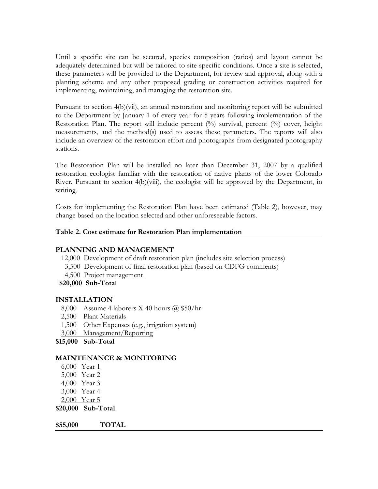Until a specific site can be secured, species composition (ratios) and layout cannot be adequately determined but will be tailored to site-specific conditions. Once a site is selected, these parameters will be provided to the Department, for review and approval, along with a planting scheme and any other proposed grading or construction activities required for implementing, maintaining, and managing the restoration site.

Pursuant to section 4(b)(vii), an annual restoration and monitoring report will be submitted to the Department by January 1 of every year for 5 years following implementation of the Restoration Plan. The report will include percent (%) survival, percent (%) cover, height measurements, and the method(s) used to assess these parameters. The reports will also include an overview of the restoration effort and photographs from designated photography stations.

The Restoration Plan will be installed no later than December 31, 2007 by a qualified restoration ecologist familiar with the restoration of native plants of the lower Colorado River. Pursuant to section 4(b)(viii), the ecologist will be approved by the Department, in writing.

Costs for implementing the Restoration Plan have been estimated (Table 2), however, may change based on the location selected and other unforeseeable factors.

## **Table 2. Cost estimate for Restoration Plan implementation**

## **PLANNING AND MANAGEMENT**

- 12,000 Development of draft restoration plan (includes site selection process)
- 3,500 Development of final restoration plan (based on CDFG comments)
- 4,500 Project management
- **\$20,000 Sub-Total**

## **INSTALLATION**

- 8,000 Assume 4 laborers X 40 hours @ \$50/hr
- 2,500 Plant Materials
- 1,500 Other Expenses (e.g., irrigation system)
- 3,000 Management/Reporting
- **\$15,000 Sub-Total**

## **MAINTENANCE & MONITORING**

- 6,000 Year 1
- 5,000 Year 2
- 4,000 Year 3
- 3,000 Year 4
- 2,000 Year 5
- **\$20,000 Sub-Total**

**\$55,000 TOTAL**